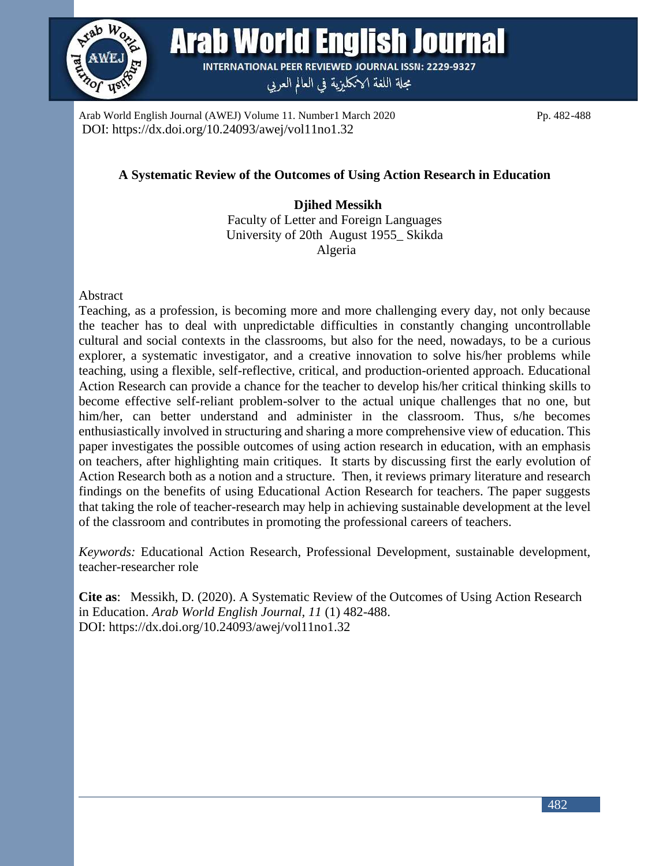

**Arab World English Journal INTERNATIONAL PEER REVIEWED JOURNAL ISSN: 2229-9327** 

مجلة اللغة الانكليزية في العالم العربي

Arab World English Journal (AWEJ) Volume 11. Number1 March 2020 Pp. 482-488 DOI: https://dx.doi.org/10.24093/awej/vol11no1.32

# **A Systematic Review of the Outcomes of Using Action Research in Education**

 **Djihed Messikh**  Faculty of Letter and Foreign Languages University of 20th August 1955\_ Skikda Algeria

#### Abstract

Teaching, as a profession, is becoming more and more challenging every day, not only because the teacher has to deal with unpredictable difficulties in constantly changing uncontrollable cultural and social contexts in the classrooms, but also for the need, nowadays, to be a curious explorer, a systematic investigator, and a creative innovation to solve his/her problems while teaching, using a flexible, self-reflective, critical, and production-oriented approach. Educational Action Research can provide a chance for the teacher to develop his/her critical thinking skills to become effective self-reliant problem-solver to the actual unique challenges that no one, but him/her, can better understand and administer in the classroom. Thus, s/he becomes enthusiastically involved in structuring and sharing a more comprehensive view of education. This paper investigates the possible outcomes of using action research in education, with an emphasis on teachers, after highlighting main critiques. It starts by discussing first the early evolution of Action Research both as a notion and a structure. Then, it reviews primary literature and research findings on the benefits of using Educational Action Research for teachers. The paper suggests that taking the role of teacher-research may help in achieving sustainable development at the level of the classroom and contributes in promoting the professional careers of teachers.

*Keywords:* Educational Action Research, Professional Development, sustainable development, teacher-researcher role

**Cite as**: Messikh, D. (2020). A Systematic Review of the Outcomes of Using Action Research in Education. *Arab World English Journal, 11* (1) 482-488. DOI: https://dx.doi.org/10.24093/awej/vol11no1.32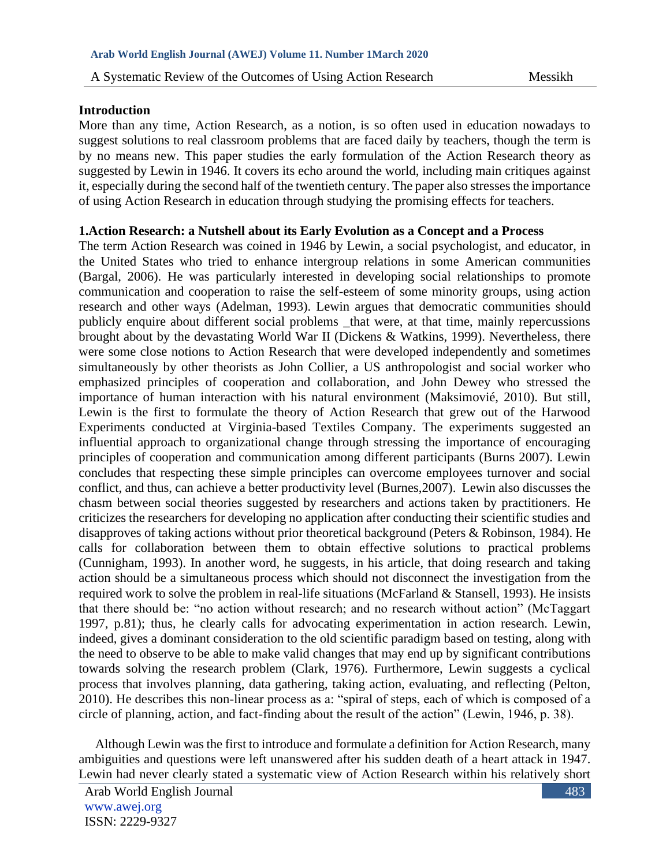## **Introduction**

More than any time, Action Research, as a notion, is so often used in education nowadays to suggest solutions to real classroom problems that are faced daily by teachers, though the term is by no means new. This paper studies the early formulation of the Action Research theory as suggested by Lewin in 1946. It covers its echo around the world, including main critiques against it, especially during the second half of the twentieth century. The paper also stresses the importance of using Action Research in education through studying the promising effects for teachers.

## **1.Action Research: a Nutshell about its Early Evolution as a Concept and a Process**

The term Action Research was coined in 1946 by Lewin, a social psychologist, and educator, in the United States who tried to enhance intergroup relations in some American communities (Bargal, 2006). He was particularly interested in developing social relationships to promote communication and cooperation to raise the self-esteem of some minority groups, using action research and other ways (Adelman, 1993). Lewin argues that democratic communities should publicly enquire about different social problems \_that were, at that time, mainly repercussions brought about by the devastating World War II (Dickens & Watkins, 1999). Nevertheless, there were some close notions to Action Research that were developed independently and sometimes simultaneously by other theorists as John Collier, a US anthropologist and social worker who emphasized principles of cooperation and collaboration, and John Dewey who stressed the importance of human interaction with his natural environment (Maksimovié, 2010). But still, Lewin is the first to formulate the theory of Action Research that grew out of the Harwood Experiments conducted at Virginia-based Textiles Company. The experiments suggested an influential approach to organizational change through stressing the importance of encouraging principles of cooperation and communication among different participants (Burns 2007). Lewin concludes that respecting these simple principles can overcome employees turnover and social conflict, and thus, can achieve a better productivity level (Burnes,2007). Lewin also discusses the chasm between social theories suggested by researchers and actions taken by practitioners. He criticizes the researchers for developing no application after conducting their scientific studies and disapproves of taking actions without prior theoretical background (Peters & Robinson, 1984). He calls for collaboration between them to obtain effective solutions to practical problems (Cunnigham, 1993). In another word, he suggests, in his article, that doing research and taking action should be a simultaneous process which should not disconnect the investigation from the required work to solve the problem in real-life situations (McFarland & Stansell, 1993). He insists that there should be: "no action without research; and no research without action" (McTaggart 1997, p.81); thus, he clearly calls for advocating experimentation in action research. Lewin, indeed, gives a dominant consideration to the old scientific paradigm based on testing, along with the need to observe to be able to make valid changes that may end up by significant contributions towards solving the research problem (Clark, 1976). Furthermore, Lewin suggests a cyclical process that involves planning, data gathering, taking action, evaluating, and reflecting (Pelton, 2010). He describes this non-linear process as a: "spiral of steps, each of which is composed of a circle of planning, action, and fact-finding about the result of the action" (Lewin, 1946, p. 38).

 Although Lewin was the first to introduce and formulate a definition for Action Research, many ambiguities and questions were left unanswered after his sudden death of a heart attack in 1947. Lewin had never clearly stated a systematic view of Action Research within his relatively short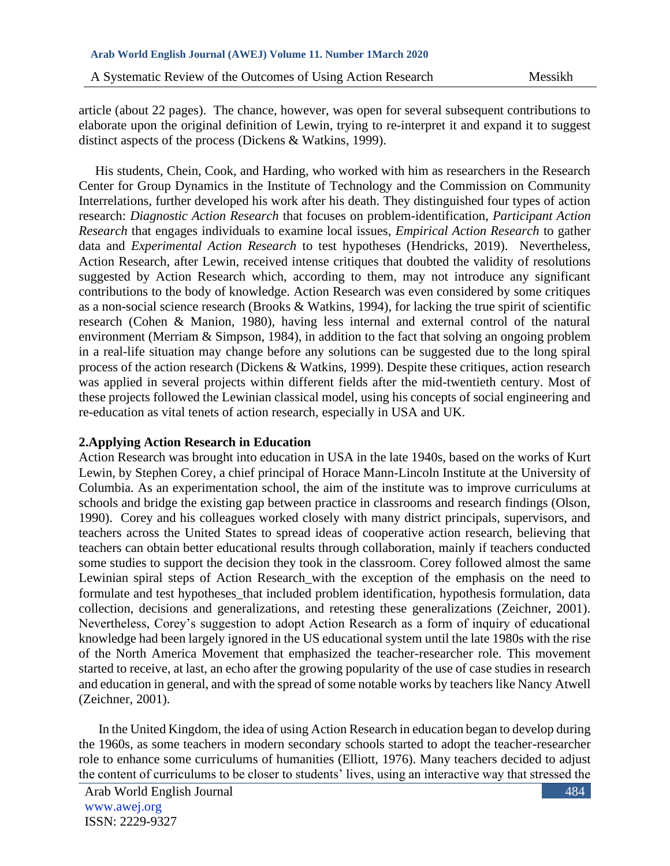A Systematic Review of the Outcomes of Using Action Research Messikh

article (about 22 pages). The chance, however, was open for several subsequent contributions to elaborate upon the original definition of Lewin, trying to re-interpret it and expand it to suggest distinct aspects of the process (Dickens & Watkins, 1999).

 His students, Chein, Cook, and Harding, who worked with him as researchers in the Research Center for Group Dynamics in the Institute of Technology and the Commission on Community Interrelations, further developed his work after his death. They distinguished four types of action research: *Diagnostic Action Research* that focuses on problem-identification, *Participant Action Research* that engages individuals to examine local issues, *Empirical Action Research* to gather data and *Experimental Action Research* to test hypotheses (Hendricks, 2019). Nevertheless, Action Research, after Lewin, received intense critiques that doubted the validity of resolutions suggested by Action Research which, according to them, may not introduce any significant contributions to the body of knowledge. Action Research was even considered by some critiques as a non-social science research (Brooks & Watkins, 1994), for lacking the true spirit of scientific research (Cohen & Manion, 1980), having less internal and external control of the natural environment (Merriam & Simpson, 1984), in addition to the fact that solving an ongoing problem in a real-life situation may change before any solutions can be suggested due to the long spiral process of the action research (Dickens & Watkins, 1999). Despite these critiques, action research was applied in several projects within different fields after the mid-twentieth century. Most of these projects followed the Lewinian classical model, using his concepts of social engineering and re-education as vital tenets of action research, especially in USA and UK.

## **2.Applying Action Research in Education**

Action Research was brought into education in USA in the late 1940s, based on the works of Kurt Lewin, by Stephen Corey, a chief principal of Horace Mann-Lincoln Institute at the University of Columbia. As an experimentation school, the aim of the institute was to improve curriculums at schools and bridge the existing gap between practice in classrooms and research findings (Olson, 1990). Corey and his colleagues worked closely with many district principals, supervisors, and teachers across the United States to spread ideas of cooperative action research, believing that teachers can obtain better educational results through collaboration, mainly if teachers conducted some studies to support the decision they took in the classroom. Corey followed almost the same Lewinian spiral steps of Action Research\_with the exception of the emphasis on the need to formulate and test hypotheses\_that included problem identification, hypothesis formulation, data collection, decisions and generalizations, and retesting these generalizations (Zeichner, 2001). Nevertheless, Corey's suggestion to adopt Action Research as a form of inquiry of educational knowledge had been largely ignored in the US educational system until the late 1980s with the rise of the North America Movement that emphasized the teacher-researcher role. This movement started to receive, at last, an echo after the growing popularity of the use of case studies in research and education in general, and with the spread of some notable works by teachers like Nancy Atwell (Zeichner, 2001).

 In the United Kingdom, the idea of using Action Research in education began to develop during the 1960s, as some teachers in modern secondary schools started to adopt the teacher-researcher role to enhance some curriculums of humanities (Elliott, 1976). Many teachers decided to adjust the content of curriculums to be closer to students' lives, using an interactive way that stressed the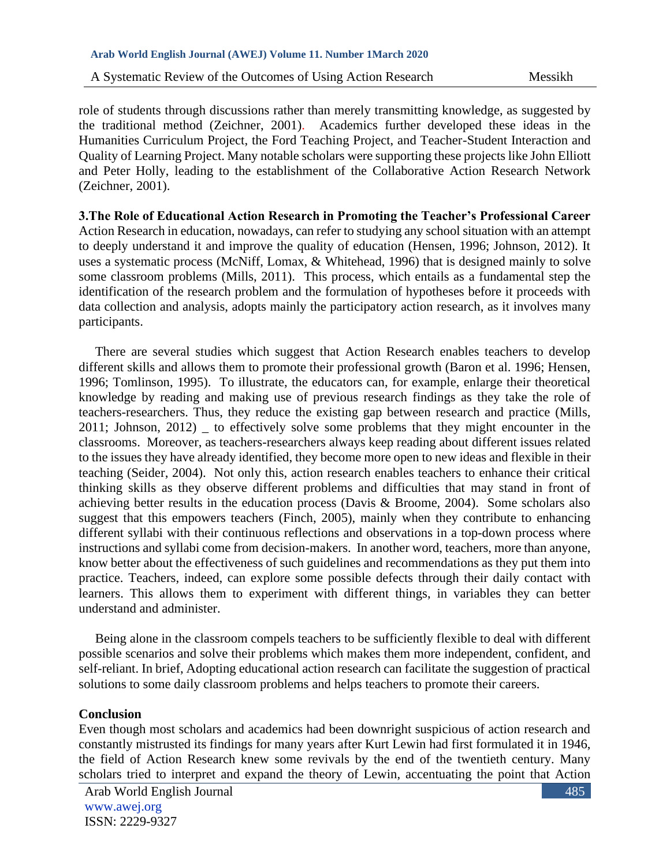A Systematic Review of the Outcomes of Using Action Research Messikh

role of students through discussions rather than merely transmitting knowledge, as suggested by the traditional method (Zeichner, 2001). Academics further developed these ideas in the Humanities Curriculum Project, the Ford Teaching Project, and Teacher-Student Interaction and Quality of Learning Project. Many notable scholars were supporting these projects like John Elliott and Peter Holly, leading to the establishment of the Collaborative Action Research Network (Zeichner, 2001).

**3.The Role of Educational Action Research in Promoting the Teacher's Professional Career**  Action Research in education, nowadays, can refer to studying any school situation with an attempt to deeply understand it and improve the quality of education (Hensen, 1996; Johnson, 2012). It uses a systematic process (McNiff, Lomax, & Whitehead, 1996) that is designed mainly to solve some classroom problems (Mills, 2011). This process, which entails as a fundamental step the identification of the research problem and the formulation of hypotheses before it proceeds with data collection and analysis, adopts mainly the participatory action research, as it involves many participants.

 There are several studies which suggest that Action Research enables teachers to develop different skills and allows them to promote their professional growth (Baron et al. 1996; Hensen, 1996; Tomlinson, 1995). To illustrate, the educators can, for example, enlarge their theoretical knowledge by reading and making use of previous research findings as they take the role of teachers-researchers. Thus, they reduce the existing gap between research and practice (Mills, 2011; Johnson, 2012) \_ to effectively solve some problems that they might encounter in the classrooms. Moreover, as teachers-researchers always keep reading about different issues related to the issues they have already identified, they become more open to new ideas and flexible in their teaching (Seider, 2004). Not only this, action research enables teachers to enhance their critical thinking skills as they observe different problems and difficulties that may stand in front of achieving better results in the education process (Davis & Broome, 2004). Some scholars also suggest that this empowers teachers (Finch, 2005), mainly when they contribute to enhancing different syllabi with their continuous reflections and observations in a top-down process where instructions and syllabi come from decision-makers. In another word, teachers, more than anyone, know better about the effectiveness of such guidelines and recommendations as they put them into practice. Teachers, indeed, can explore some possible defects through their daily contact with learners. This allows them to experiment with different things, in variables they can better understand and administer.

 Being alone in the classroom compels teachers to be sufficiently flexible to deal with different possible scenarios and solve their problems which makes them more independent, confident, and self-reliant. In brief, Adopting educational action research can facilitate the suggestion of practical solutions to some daily classroom problems and helps teachers to promote their careers.

## **Conclusion**

Even though most scholars and academics had been downright suspicious of action research and constantly mistrusted its findings for many years after Kurt Lewin had first formulated it in 1946, the field of Action Research knew some revivals by the end of the twentieth century. Many scholars tried to interpret and expand the theory of Lewin, accentuating the point that Action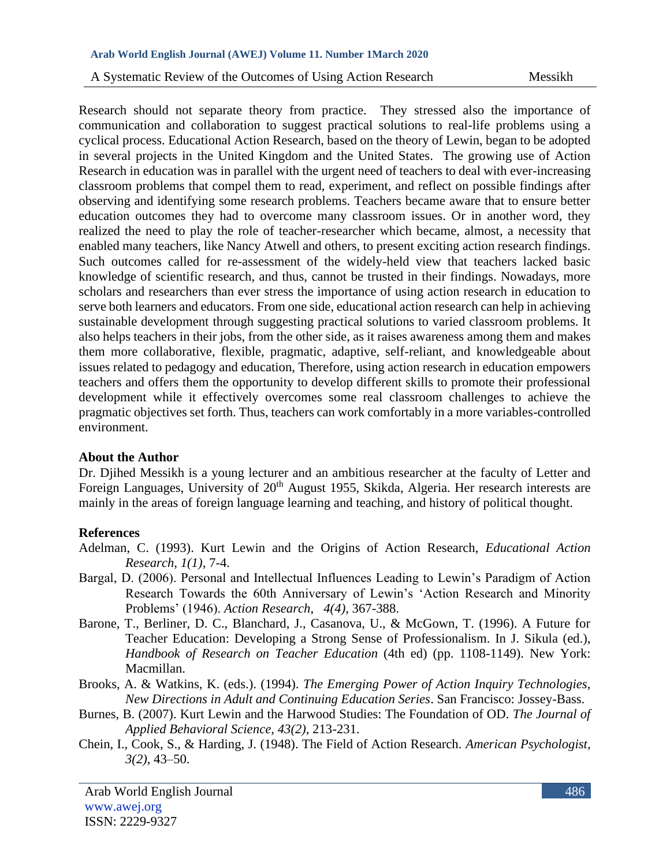#### **Arab World English Journal (AWEJ) Volume 11. Number 1March 2020**

A Systematic Review of the Outcomes of Using Action Research Messikh

Research should not separate theory from practice. They stressed also the importance of communication and collaboration to suggest practical solutions to real-life problems using a cyclical process. Educational Action Research, based on the theory of Lewin, began to be adopted in several projects in the United Kingdom and the United States. The growing use of Action Research in education was in parallel with the urgent need of teachers to deal with ever-increasing classroom problems that compel them to read, experiment, and reflect on possible findings after observing and identifying some research problems. Teachers became aware that to ensure better education outcomes they had to overcome many classroom issues. Or in another word, they realized the need to play the role of teacher-researcher which became, almost, a necessity that enabled many teachers, like Nancy Atwell and others, to present exciting action research findings. Such outcomes called for re-assessment of the widely-held view that teachers lacked basic knowledge of scientific research, and thus, cannot be trusted in their findings. Nowadays, more scholars and researchers than ever stress the importance of using action research in education to serve both learners and educators. From one side, educational action research can help in achieving sustainable development through suggesting practical solutions to varied classroom problems. It also helps teachers in their jobs, from the other side, as it raises awareness among them and makes them more collaborative, flexible, pragmatic, adaptive, self-reliant, and knowledgeable about issues related to pedagogy and education, Therefore, using action research in education empowers teachers and offers them the opportunity to develop different skills to promote their professional development while it effectively overcomes some real classroom challenges to achieve the pragmatic objectives set forth. Thus, teachers can work comfortably in a more variables-controlled environment.

### **About the Author**

Dr. Djihed Messikh is a young lecturer and an ambitious researcher at the faculty of Letter and Foreign Languages, University of 20<sup>th</sup> August 1955, Skikda, Algeria. Her research interests are mainly in the areas of foreign language learning and teaching, and history of political thought.

### **References**

- Adelman, C. (1993). Kurt Lewin and the Origins of Action Research, *Educational Action Research*, *1(1),* 7-4.
- Bargal, D. (2006). Personal and Intellectual Influences Leading to Lewin's Paradigm of Action Research Towards the 60th Anniversary of Lewin's 'Action Research and Minority Problems' (1946). *Action Research*, *4(4)*, 367-388.
- Barone, T., Berliner, D. C., Blanchard, J., Casanova, U., & McGown, T. (1996). A Future for Teacher Education: Developing a Strong Sense of Professionalism. In J. Sikula (ed.), *Handbook of Research on Teacher Education* (4th ed) (pp. 1108-1149). New York: Macmillan.
- Brooks, A. & Watkins, K. (eds.). (1994). *The Emerging Power of Action Inquiry Technologies, New Directions in Adult and Continuing Education Series*. San Francisco: Jossey-Bass.
- Burnes, B. (2007). Kurt Lewin and the Harwood Studies: The Foundation of OD. *The Journal of Applied Behavioral Science, 43(2)*, 213-231.
- Chein, I., Cook, S., & Harding, J. (1948). The Field of Action Research. *American Psychologist, 3(2)*, 43–50.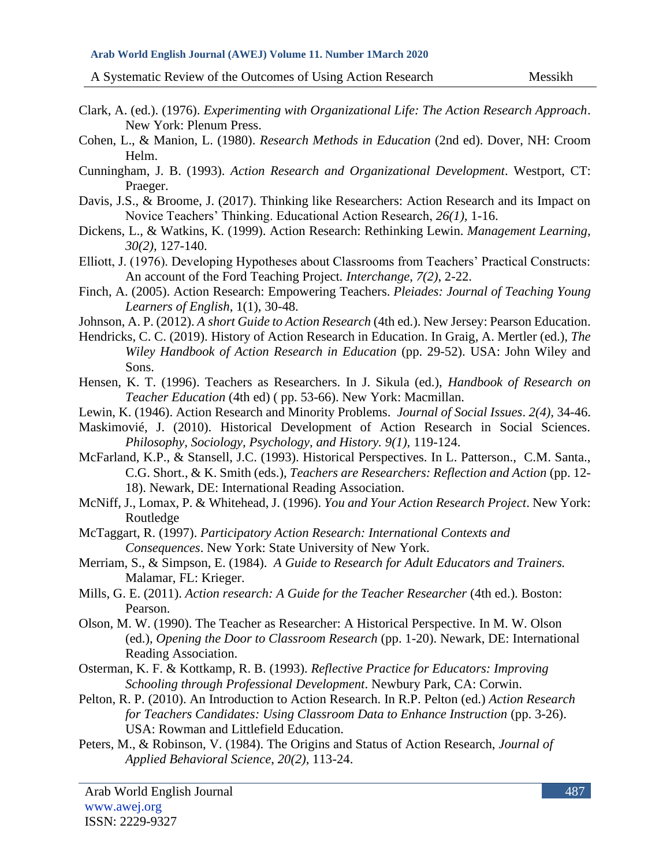A Systematic Review of the Outcomes of Using Action Research Messikh

- Clark, A. (ed.). (1976). *Experimenting with Organizational Life: The Action Research Approach*. New York: Plenum Press.
- Cohen, L., & Manion, L. (1980). *Research Methods in Education* (2nd ed). Dover, NH: Croom Helm.
- Cunningham, J. B. (1993). *Action Research and Organizational Development*. Westport, CT: Praeger.
- Davis, J.S., & Broome, J. (2017). Thinking like Researchers: Action Research and its Impact on Novice Teachers' Thinking. Educational Action Research, *26(1),* 1-16.
- Dickens, L., & Watkins, K. (1999). Action Research: Rethinking Lewin. *Management Learning, 30(2),* 127-140.
- Elliott, J. (1976). Developing Hypotheses about Classrooms from Teachers' Practical Constructs: An account of the Ford Teaching Project*. Interchange*, *7(2)*, 2-22.
- Finch, A. (2005). Action Research: Empowering Teachers. *Pleiades: Journal of Teaching Young Learners of English*, 1(1), 30-48.
- Johnson, A. P. (2012). *A short Guide to Action Research* (4th ed.). New Jersey: Pearson Education.
- Hendricks, C. C. (2019). History of Action Research in Education. In Graig, A. Mertler (ed.), *The Wiley Handbook of Action Research in Education* (pp. 29-52). USA: John Wiley and Sons.
- Hensen, K. T. (1996). Teachers as Researchers. In J. Sikula (ed.), *Handbook of Research on Teacher Education* (4th ed) ( pp. 53-66). New York: Macmillan.
- Lewin, K. (1946). Action Research and Minority Problems. *Journal of Social Issues*. *2(4),* 34-46.
- Maskimovié, J. (2010). Historical Development of Action Research in Social Sciences. *Philosophy, Sociology, Psychology, and History. 9(1),* 119-124.
- McFarland, K.P., & Stansell, J.C. (1993). Historical Perspectives. In L. Patterson., C.M. Santa., C.G. Short., & K. Smith (eds.), *Teachers are Researchers: Reflection and Action* (pp. 12- 18). Newark, DE: International Reading Association.
- McNiff, J., Lomax, P. & Whitehead, J. (1996). *You and Your Action Research Project*. New York: Routledge
- McTaggart, R. (1997). *Participatory Action Research: International Contexts and Consequences*. New York: State University of New York.
- Merriam, S., & Simpson, E. (1984). *A Guide to Research for Adult Educators and Trainers.* Malamar, FL: Krieger.
- Mills, G. E. (2011). *Action research: A Guide for the Teacher Researcher* (4th ed.). Boston: Pearson.
- Olson, M. W. (1990). The Teacher as Researcher: A Historical Perspective. In M. W. Olson (ed.), *Opening the Door to Classroom Research* (pp. 1-20). Newark, DE: International Reading Association.
- Osterman, K. F. & Kottkamp, R. B. (1993). *Reflective Practice for Educators: Improving Schooling through Professional Development*. Newbury Park, CA: Corwin.
- Pelton, R. P. (2010). An Introduction to Action Research. In R.P. Pelton (ed.) *Action Research for Teachers Candidates: Using Classroom Data to Enhance Instruction (pp. 3-26).* USA: Rowman and Littlefield Education.
- Peters, M., & Robinson, V. (1984). The Origins and Status of Action Research, *Journal of Applied Behavioral Science*, *20(2),* 113-24.